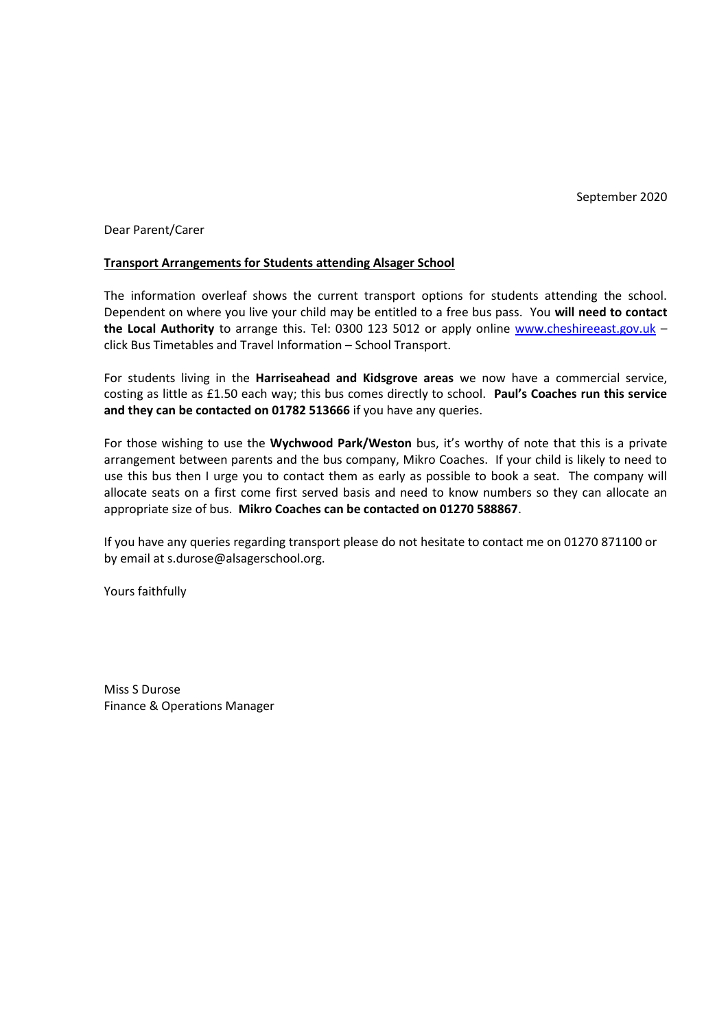Dear Parent/Carer

### **Transport Arrangements for Students attending Alsager School**

The information overleaf shows the current transport options for students attending the school. Dependent on where you live your child may be entitled to a free bus pass. You **will need to contact the Local Authority** to arrange this. Tel: 0300 123 5012 or apply online [www.cheshireeast.gov.uk](http://www.cheshireeast.gov.uk/) – click Bus Timetables and Travel Information – School Transport.

For students living in the **Harriseahead and Kidsgrove areas** we now have a commercial service, costing as little as £1.50 each way; this bus comes directly to school. **Paul's Coaches run this service and they can be contacted on 01782 513666** if you have any queries.

For those wishing to use the **Wychwood Park/Weston** bus, it's worthy of note that this is a private arrangement between parents and the bus company, Mikro Coaches. If your child is likely to need to use this bus then I urge you to contact them as early as possible to book a seat. The company will allocate seats on a first come first served basis and need to know numbers so they can allocate an appropriate size of bus. **Mikro Coaches can be contacted on 01270 588867**.

If you have any queries regarding transport please do not hesitate to contact me on 01270 871100 or by email at s.durose@alsagerschool.org.

Yours faithfully

Miss S Durose Finance & Operations Manager